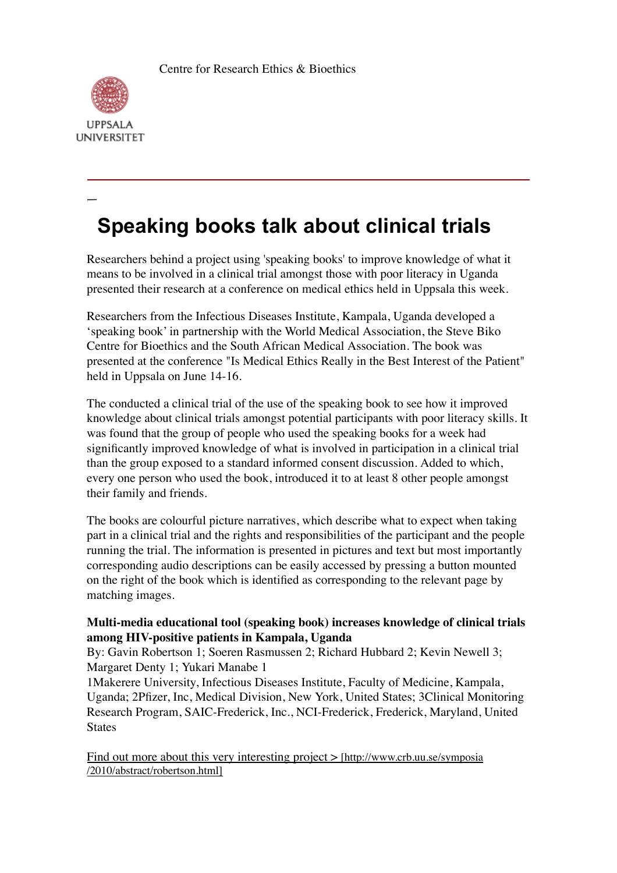Centre for Research Ethics & Bioethics



## **Speaking books talk about clinical trials**

Researchers behind a project using 'speaking books' to improve knowledge of what it means to be involved in a clinical trial amongst those with poor literacy in Uganda presented their research at a conference on medical ethics held in Uppsala this week.

Researchers from the Infectious Diseases Institute, Kampala, Uganda developed a 'speaking book' in partnership with the World Medical Association, the Steve Biko Centre for Bioethics and the South African Medical Association. The book was presented at the conference "Is Medical Ethics Really in the Best Interest of the Patient" held in Uppsala on June 14-16.

The conducted a clinical trial of the use of the speaking book to see how it improved knowledge about clinical trials amongst potential participants with poor literacy skills. It was found that the group of people who used the speaking books for a week had significantly improved knowledge of what is involved in participation in a clinical trial than the group exposed to a standard informed consent discussion. Added to which, every one person who used the book, introduced it to at least 8 other people amongst their family and friends.

The books are colourful picture narratives, which describe what to expect when taking part in a clinical trial and the rights and responsibilities of the participant and the people running the trial. The information is presented in pictures and text but most importantly corresponding audio descriptions can be easily accessed by pressing a button mounted on the right of the book which is identified as corresponding to the relevant page by matching images.

## **Multi-media educational tool (speaking book) increases knowledge of clinical trials among HIV-positive patients in Kampala, Uganda**

By: Gavin Robertson 1; Soeren Rasmussen 2; Richard Hubbard 2; Kevin Newell 3; Margaret Denty 1; Yukari Manabe 1

1Makerere University, Infectious Diseases Institute, Faculty of Medicine, Kampala, Uganda; 2Pfizer, Inc, Medical Division, New York, United States; 3Clinical Monitoring Research Program, SAIC-Frederick, Inc., NCI-Frederick, Frederick, Maryland, United **States** 

Find out more about this very interesting project > [http://www.crb.uu.se/symposia /2010/abstract/robertson.html]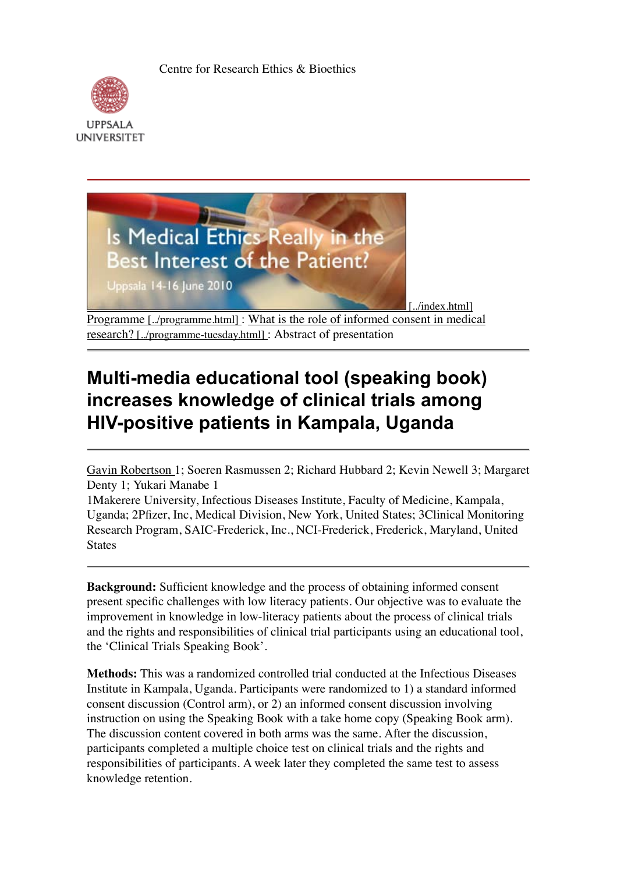Centre for Research Ethics & Bioethics





## **Multi-media educational tool (speaking book) increases knowledge of clinical trials among HIV-positive patients in Kampala, Uganda**

Gavin Robertson 1; Soeren Rasmussen 2; Richard Hubbard 2; Kevin Newell 3; Margaret Denty 1; Yukari Manabe 1

1Makerere University, Infectious Diseases Institute, Faculty of Medicine, Kampala, Uganda; 2Pfizer, Inc, Medical Division, New York, United States; 3Clinical Monitoring Research Program, SAIC-Frederick, Inc., NCI-Frederick, Frederick, Maryland, United States

**Background:** Sufficient knowledge and the process of obtaining informed consent present specific challenges with low literacy patients. Our objective was to evaluate the improvement in knowledge in low-literacy patients about the process of clinical trials and the rights and responsibilities of clinical trial participants using an educational tool, the 'Clinical Trials Speaking Book'.

**Methods:** This was a randomized controlled trial conducted at the Infectious Diseases Institute in Kampala, Uganda. Participants were randomized to 1) a standard informed consent discussion (Control arm), or 2) an informed consent discussion involving instruction on using the Speaking Book with a take home copy (Speaking Book arm). The discussion content covered in both arms was the same. After the discussion, participants completed a multiple choice test on clinical trials and the rights and responsibilities of participants. A week later they completed the same test to assess knowledge retention.